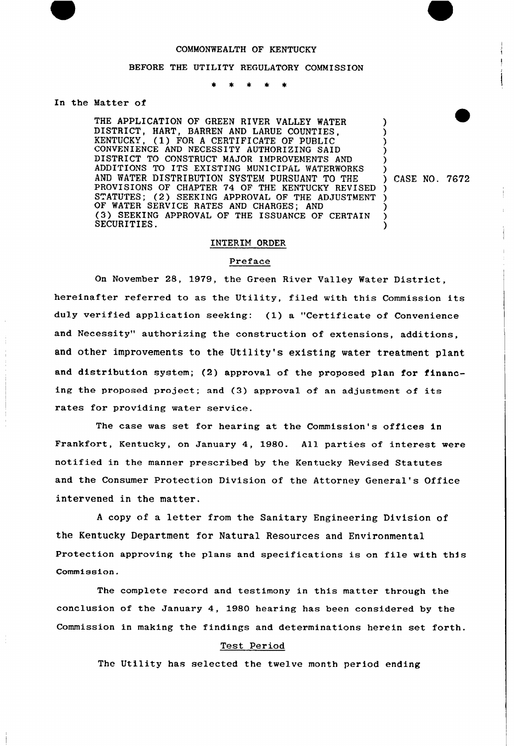## COMMONWEALTH OF KENTUCKY

#### BEFORE THE UTILITY REGULATORY COMMISSION

### In the Matter of

THE APPLICATION OF GREEN RIVER VALLEY WATER DISTRICT, HART, BARREN AND LARUE COUNTIES, (1) FOR A CERTIFICATE OF PUBLIC CONVENIENCE AND NECESSITY AUTHORIZING SAID DISTRICT TO CONSTRUCT MAJOR IMPROVEMENTS AND ADDlTIONS TO ITS EXISTING MUNICIPAL WATERWORKS AND WATER DISTRIBUTION SYSTEM PURSUANT TO THE PROVISIONS OF CHAPTER 74 OF THE KENTUCKY REVISED STATUTES; (2) SEEKING APPROVAL OF THE ADJUSTMENT OF WATER SERVICE RATES AND CHARGES; AND (3) SEEKING APPROVAL OF THE ISSUANCE OF CERTAIN SECURITIES.

) CASE NO. 7672

) ) ) ) ) )

) ) ) ) )

# INTERIM ORDER

## Preface

On November 28, 1979, the Green River Valley Water District, hereinafter referred to as the Utility, filed with this Commission its duly verified application seeking: (1) a "Certificate of Convenience and Necessity" authorizing the construction of extensions, additions, and other improvements to the Utility's existing water treatment plant and distribution system; (2) approval of the proposed plan for financing the proposed project; and (3) approval of an adjustment of its rates for providing water service.

The case was set for hearing at the Commission's offices in Frankfort, Kentucky, on January 4, 1980. All parties of interest were notified in the manner prescribed by the Kentucky Revised Statutes and the Consumer Protection Division of the Attorney General's Office intervened in the matter.

<sup>A</sup> copy nf a letter from the Sanitary Engineering Division of the Kentucky Department for Natural Resources and Environmental Protection approving the plans and specifications is on file with thfs Commission.

The complete record and testimony in this matter through the conclusion of the January 4, 1980 hearing has been considered by the Commission in making the findings and determinations herein set forth.

## Test Period

The Utility has selected the twelve month period ending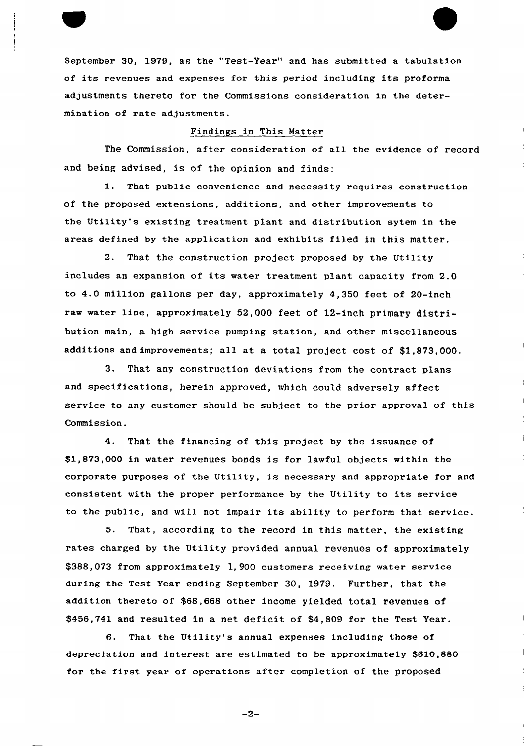September 30, 1979, as the "Test-Year" and has submitted a tabulation of its revenues and expenses for this period including its proforma adjustments thereto for the Commissions consideration in the determination of rate adjustments.

### Findings in This Matter

The Commission, after consideration of all the evidence of record and being advised, is of the opinion and finds:

1. That public convenience and necessity requires construction of the proposed extensions, additions, and other improvements to the Utility's existing treatment plant and distribution sytem in the areas defined by the application and exhibits filed in this matter.

2. That the construction project proposed by the Utility includes an expansion of its water treatment plant capacity from 2.0 to 4.0 million gallons per day, approximately 4,350 feet of 20-inch raw water line, approximately 52,000 feet of 12-inch primary distribution main, a high service pumping station, and other miscellaneous additions and improvements; all at a total project cost of \$1,873,000.

3. That any construction deviations from the contract plans and specifications, herein approved, which could adversely affect service to any customer should be subject to the prior approval of this Commission.

4. That the financing of this project by the issuance of \$1,873,000 in water revenues bonds is for lawful objects within the corporate purposes of the Utility, is necessary and appropriate for and consistent with the proper performance by the Utility to its service to the public, and will not impair its ability to perform that service.

5. That, according to the record in this matter, the existing rates charged by the Utility provided annual revenues of approximately \$388,073 from approximately 1, 900 customers receiving water service during the Test Year ending September 30, 1979. Further, that the addition thereto of \$68,668 other income yielded total revenues of \$456,741 and resulted in a net deficit of \$4,809 for the Test Year.

6. That the Utility's annual expenses including those of depreciation and interest are estimated to be approximately \$610,880 for the first year of operations after completion of the proposed

 $-2-$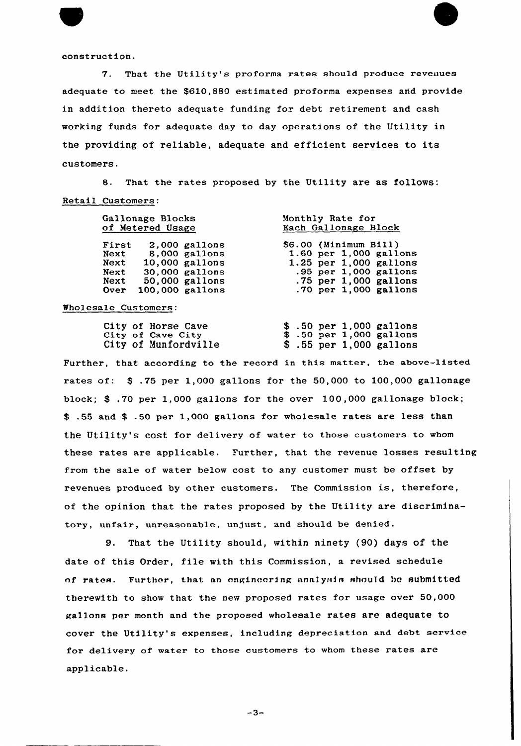construction.

7. That the Utility's proforma rates should produce reveuues adequate to meet the \$610,880 estimated proforma expenses and provide in addition thereto adequate funding for debt retirement and cash working funds for adequate day to day operations of the Utility in the providing of reliable, adequate and efficient services to its customers.

8. That the rates proposed by the Utility are as follows: Retail Customers:

| Gallonage Blocks<br>of Metered Usage                                                                                                                         | Monthly Rate for<br>Each Gallonage Block                                                                                                              |  |  |  |  |  |
|--------------------------------------------------------------------------------------------------------------------------------------------------------------|-------------------------------------------------------------------------------------------------------------------------------------------------------|--|--|--|--|--|
| First<br>$2.000$ gallons<br>8,000 gallons<br>Next<br>$10,000$ gallons<br>Next<br>30,000 gallons<br>Next<br>50,000 gallons<br>Next<br>100,000 gallons<br>Over | \$6.00 (Minimum Bill)<br>1.60 per 1,000 gallons<br>1.25 per 1,000 gallons<br>.95 per 1,000 gallon:<br>$.75$ per 1,000 gallons<br>.70 per 1,000 gallon |  |  |  |  |  |

Wholesale Customers:

|  | City of Horse Cave   |  |  | $$.50$ per 1,000 gallons                  |
|--|----------------------|--|--|-------------------------------------------|
|  | City of Cave City    |  |  | $$.50 \text{ per } 1,000 \text{ gallons}$ |
|  | City of Munfordville |  |  | $$.55$ per 1,000 gallons                  |

Further, that according to the record in this matter, the above-listed rates of: \$ .75 per 1,000 gallons for the 50,000 to 100,000 gallonage block; \$ .70 per 1,000 gallons for the over 100,000 gallonage block; .55 and \$ .50 per 1,000 gallons for wholesale rates are less than the Utility's cost for delivery of water to those customers to whom these rates are applicable. Further, that the revenue losses resulting from the sale of water below cost to any customer must be offset by revenues produced, by other customers. The Commission is, therefore, of the opinion that the rates proposed by the Utility are discriminatory, unfair, unreasonable, unjust, and should be denied.

9. That the Utility should, witkin ninety (90) days of the date of this Order, file with this Commission, a revised schedule of rates. Further, that an engineering analysis should be submitted therewith to show that the new proposed rates for usage over 50,000 gal]ons per month and the proposed wholesale rates are adequate to cover the Utility's expenses, including depreciation and debt service for delivery of water to those customers to whom these rates are applicable.

 $-3-$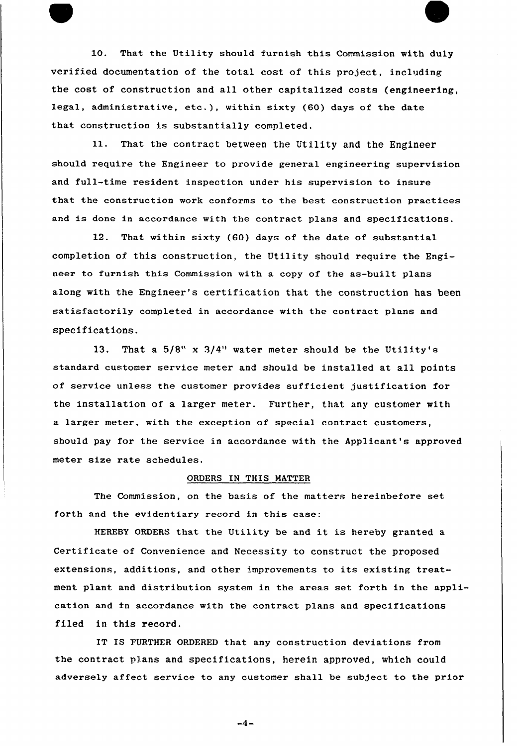10. That the Utility should furnish this Commission with duly verified documentation of the total cost of this project, including the cost of construction and all other capitalized costs (engineering, legal, administrative, etc.), within sixty (60) days of the date that construction is substantially completed.

11. That the contract between the Utility and the Engineer should require the Engineer to provide general engineering supervision and full-time resident inspection under his supervision to insure that the construction work conforms to the best construction practices and is done in accordance with the contract plans and specifications.

12. That within sixty (60) days of the date of substantial completion of this construction, the Utility should require the Engineer to furnish this Commission with a copy of the as-built plans along with the Engineer's certification that the construction has been satisfactorily completed in accordance with the contract plans and specifications.

13. That a 5/8" x 3/4" water meter should be the Utility's standard customer service meter and should be installed at all points of service unless the customer provides sufficient justification for the installation of a larger meter. Further, that any customer with a larger meter, with the exception of special contract customers, should pay for the service in accordance with the Applicant's approved meter size rate schedules.

## ORDERS IN THIS MATTER

The Commission, on the basis of the matters hereinbefore set forth and the evidentiary record in this case:

HEREBY ORDERS that the Utility be and it is hereby granted <sup>a</sup> Certificate of Convenience and Necessity to construct the proposed extensions, additions, and other improvements to its existing treatment plant and distribution system in the areas set forth in the application and in accordance with the contract plans and specifications filed in this record.

IT IS FURTHER ORDFRED that any construction deviations from the contract plans and specifications, herein approved, which could adversely affect service to any customer shall be subject to the prior

 $-4-$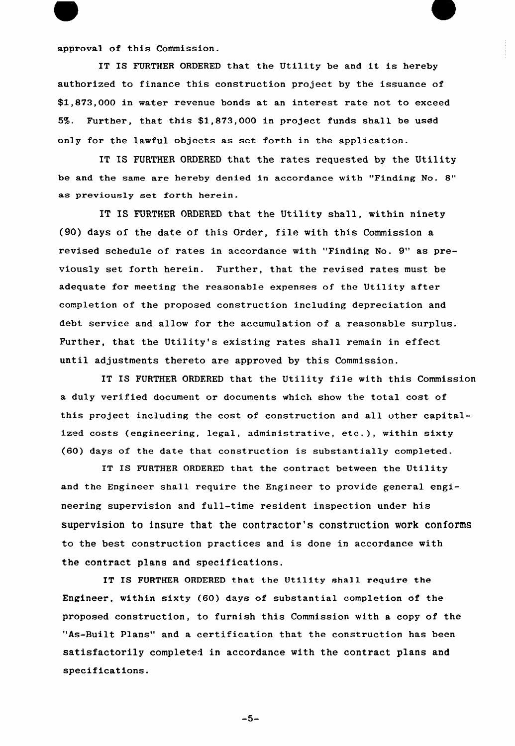approval of this Commission.

IT IS FURTHER ORDERED that the Utility be and it is hereby authorized to finance this construction project by the issuance of \$1,873,000 in water revenue bonds at an interest rate not to exceed 5%. Further, that this \$1,873,000 in project funds shall be used only for the lawful objects as set forth in the application.

IT IS FURTHER ORDERED that the rates requested by the Utility be and the same are hereby denied in accordance with "Finding No. 8" as previously set forth herein.

IT IS FURTHER ORDERED that the Utility shall, within ninety (90) days of the date of this Order, file with this Commission a revised schedule of rates in accordance with "Finding No. 9" as previously set forth herein. Further, that the revised rates must be adequate for meeting the reasonable expenses of the Utility after completion of the proposed construction including depreciation and debt service and allow for the accumulation of a reasonable surplus. Further, that the Utility's existing rates shall remain in effect until adjustments thereto are appxoved by this Commission.

IT IS FURTHER ORDFRED that the Utility file with this Commission a duly verified document or documents which show the total cost of this project including the cost of construction and all other capitalized costs (engineering, legal, administrative, etc.), within sixty (60) days of the date that construction is substantially completed.

IT IS FURTHER ORDERED that the contract between the Utility and the Engineer shall require the Engineer to provide general engineering supervision and full-time resident inspection under his supervision to insure that the contractor's construction work conforms to the best construction practices and is done in accordance with the contract plans and specifications.

IT IS FURTHER ORDERED that the Utility shall require the Engineer, within sixty (60) days of substantial completion of the proposed construction, to furnish this Commission with a copy of the "As-Built Plans" and a certification that the construction has been satisfactorily completed in accordance with the contract plans and specifications.

 $-5-$